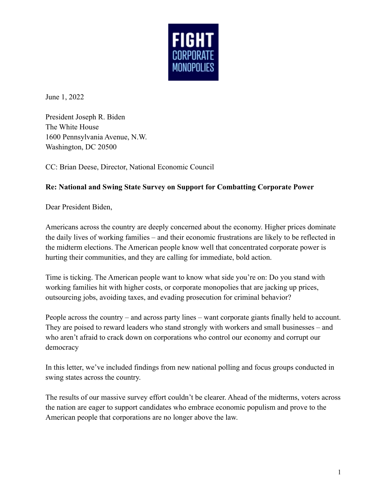

June 1, 2022

President Joseph R. Biden The White House 1600 Pennsylvania Avenue, N.W. Washington, DC 20500

CC: Brian Deese, Director, National Economic Council

## **Re: National and Swing State Survey on Support for Combatting Corporate Power**

Dear President Biden,

Americans across the country are deeply concerned about the economy. Higher prices dominate the daily lives of working families – and their economic frustrations are likely to be reflected in the midterm elections. The American people know well that concentrated corporate power is hurting their communities, and they are calling for immediate, bold action.

Time is ticking. The American people want to know what side you're on: Do you stand with working families hit with higher costs, or corporate monopolies that are jacking up prices, outsourcing jobs, avoiding taxes, and evading prosecution for criminal behavior?

People across the country – and across party lines – want corporate giants finally held to account. They are poised to reward leaders who stand strongly with workers and small businesses – and who aren't afraid to crack down on corporations who control our economy and corrupt our democracy

In this letter, we've included findings from new national polling and focus groups conducted in swing states across the country.

The results of our massive survey effort couldn't be clearer. Ahead of the midterms, voters across the nation are eager to support candidates who embrace economic populism and prove to the American people that corporations are no longer above the law.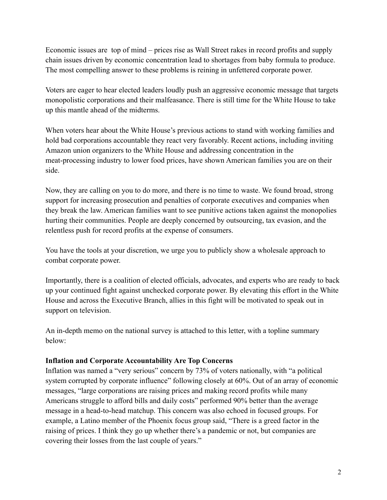Economic issues are top of mind – prices rise as Wall Street rakes in record profits and supply chain issues driven by economic concentration lead to shortages from baby formula to produce. The most compelling answer to these problems is reining in unfettered corporate power.

Voters are eager to hear elected leaders loudly push an aggressive economic message that targets monopolistic corporations and their malfeasance. There is still time for the White House to take up this mantle ahead of the midterms.

When voters hear about the White House's previous actions to stand with working families and hold bad corporations accountable they react very favorably. Recent actions, including inviting Amazon union organizers to the White House and addressing concentration in the meat-processing industry to lower food prices, have shown American families you are on their side.

Now, they are calling on you to do more, and there is no time to waste. We found broad, strong support for increasing prosecution and penalties of corporate executives and companies when they break the law. American families want to see punitive actions taken against the monopolies hurting their communities. People are deeply concerned by outsourcing, tax evasion, and the relentless push for record profits at the expense of consumers.

You have the tools at your discretion, we urge you to publicly show a wholesale approach to combat corporate power.

Importantly, there is a coalition of elected officials, advocates, and experts who are ready to back up your continued fight against unchecked corporate power. By elevating this effort in the White House and across the Executive Branch, allies in this fight will be motivated to speak out in support on television.

An in-depth memo on the national survey is attached to this letter, with a topline summary below:

## **Inflation and Corporate Accountability Are Top Concerns**

Inflation was named a "very serious" concern by 73% of voters nationally, with "a political system corrupted by corporate influence" following closely at 60%. Out of an array of economic messages, "large corporations are raising prices and making record profits while many Americans struggle to afford bills and daily costs" performed 90% better than the average message in a head-to-head matchup. This concern was also echoed in focused groups. For example, a Latino member of the Phoenix focus group said, "There is a greed factor in the raising of prices. I think they go up whether there's a pandemic or not, but companies are covering their losses from the last couple of years."